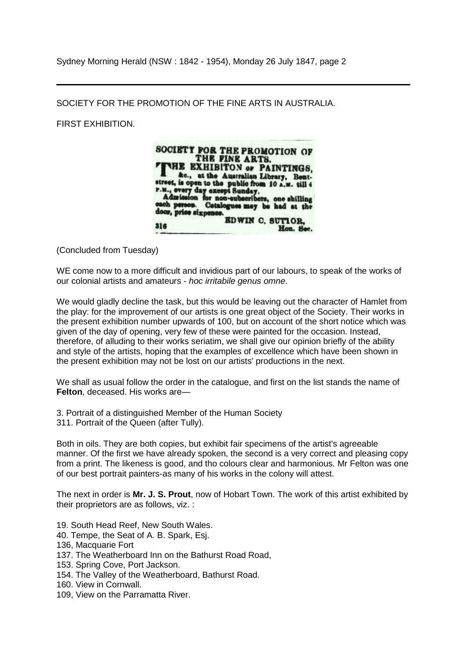Sydney Morning Herald (NSW : 1842 - 1954), Monday 26 July 1847, page 2

SOCIETY FOR THE PROMOTION OF THE FINE ARTS IN AUSTRALIA.

FIRST EXHIBITION.



(Concluded from Tuesday)

WE come now to a more difficult and invidious part of our labours, to speak of the works of our colonial artists and amateurs - *hoc irritabile genus omne*.

We would gladly decline the task, but this would be leaving out the character of Hamlet from the play: for the improvement of our artists is one great object of the Society. Their works in the present exhibition number upwards of 100, but on account of the short notice which was given of the day of opening, very few of these were painted for the occasion. Instead, therefore, of alluding to their works seriatim, we shall give our opinion briefly of the ability and style of the artists, hoping that the examples of excellence which have been shown in the present exhibition may not be lost on our artists' productions in the next.

We shall as usual follow the order in the catalogue, and first on the list stands the name of **Felton**, deceased. His works are—

3. Portrait of a distinguished Member of the Human Society 311. Portrait of the Queen (after Tully).

Both in oils. They are both copies, but exhibit fair specimens of the artist's agreeable manner. Of the first we have already spoken, the second is a very correct and pleasing copy from a print. The likeness is good, and tho colours clear and harmonious. Mr Felton was one of our best portrait painters-as many of his works in the colony will attest.

The next in order is **Mr. J. S. Prout**, now of Hobart Town. The work of this artist exhibited by their proprietors are as follows, viz. :

- 19. South Head Reef, New South Wales.
- 40. Tempe, the Seat of A. B. Spark, Esj.
- 136, Macquarie Fort
- 137. The Weatherboard Inn on the Bathurst Road Road,
- 153. Spring Cove, Port Jackson.
- 154. The Valley of the Weatherboard, Bathurst Road.
- 160. View in Cornwall.
- 109, View on the Parramatta River.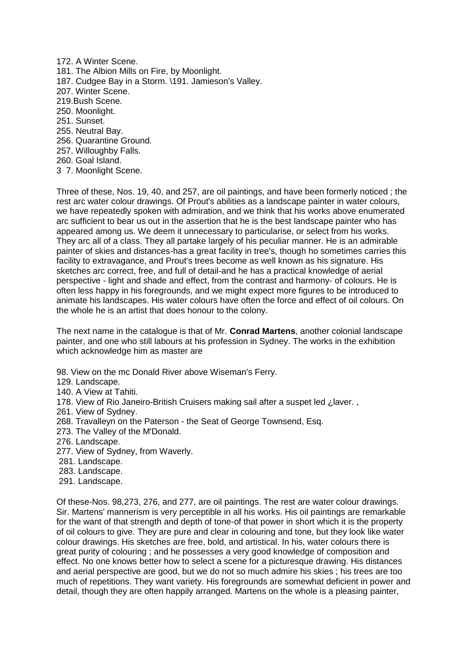172. A Winter Scene. 181. The Albion Mills on Fire, by Moonlight. 187. Cudgee Bay in a Storm. \191. Jamieson's Valley. 207. Winter Scene. 219.Bush Scene. 250. Moonlight. 251. Sunset. 255. Neutral Bay. 256. Quarantine Ground. 257. Willoughby Falls. 260. Goal Island.

3 7. Moonlight Scene.

Three of these, Nos. 19, 40, and 257, are oil paintings, and have been formerly noticed ; the rest arc water colour drawings. Of Prout's abilities as a landscape painter in water colours, we have repeatedly spoken with admiration, and we think that his works above enumerated arc sufficient to bear us out in the assertion that he is the best landscape painter who has appeared among us. We deem it unnecessary to particularise, or select from his works. They arc all of a class. They all partake largely of his peculiar manner. He is an admirable painter of skies and distances-has a great facility in tree's, though ho sometimes carries this facility to extravagance, and Prout's trees become as well known as his signature. His sketches arc correct, free, and full of detail-and he has a practical knowledge of aerial perspective - light and shade and effect, from the contrast and harmony- of colours. He is often less happy in his foregrounds, and we might expect more figures to be introduced to animate his landscapes. His water colours have often the force and effect of oil colours. On the whole he is an artist that does honour to the colony.

The next name in the catalogue is that of Mr. **Conrad Martens**, another colonial landscape painter, and one who still labours at his profession in Sydney. The works in the exhibition which acknowledge him as master are

98. View on the mc Donald River above Wiseman's Ferry.

- 129. Landscape.
- 140. A View at Tahiti.
- 178. View of Rio Janeiro-British Cruisers making sail after a suspet led ¿laver. ,
- 261. View of Sydney.
- 268. Travalleyn on the Paterson the Seat of George Townsend, Esq.
- 273. The Valley of the M'Donald.
- 276. Landscape.
- 277. View of Sydney, from Waverly.
- 281. Landscape.
- 283. Landscape.
- 291. Landscape.

Of these-Nos. 98,273, 276, and 277, are oil paintings. The rest are water colour drawings. Sir. Martens' mannerism is very perceptible in all his works. His oil paintings are remarkable for the want of that strength and depth of tone-of that power in short which it is the property of oil colours to give. They are pure and clear in colouring and tone, but they look like water colour drawings. His sketches are free, bold, and artistical. In his, water colours there is great purity of colouring ; and he possesses a very good knowledge of composition and effect. No one knows better how to select a scene for a picturesque drawing. His distances and aerial perspective are good, but we do not so much admire his skies ; his trees are too much of repetitions. They want variety. His foregrounds are somewhat deficient in power and detail, though they are often happily arranged. Martens on the whole is a pleasing painter,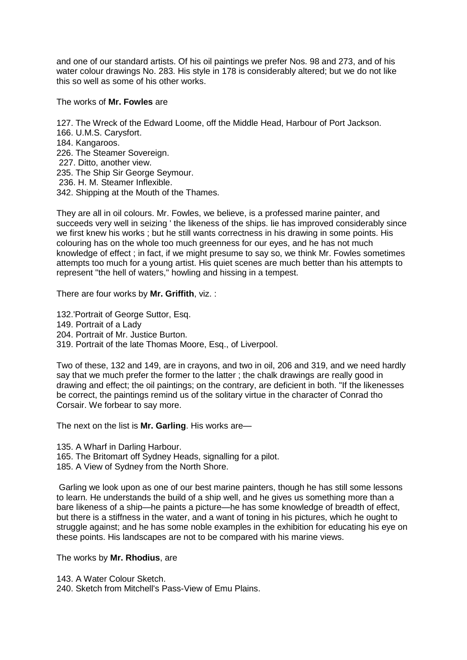and one of our standard artists. Of his oil paintings we prefer Nos. 98 and 273, and of his water colour drawings No. 283. His style in 178 is considerably altered; but we do not like this so well as some of his other works.

The works of **Mr. Fowles** are

- 127. The Wreck of the Edward Loome, off the Middle Head, Harbour of Port Jackson.
- 166. U.M.S. Carysfort.
- 184. Kangaroos.
- 226. The Steamer Sovereign.
- 227. Ditto, another view.
- 235. The Ship Sir George Seymour.
- 236. H. M. Steamer Inflexible.
- 342. Shipping at the Mouth of the Thames.

They are all in oil colours. Mr. Fowles, we believe, is a professed marine painter, and succeeds very well in seizing ' the likeness of the ships. lie has improved considerably since we first knew his works ; but he still wants correctness in his drawing in some points. His colouring has on the whole too much greenness for our eyes, and he has not much knowledge of effect ; in fact, if we might presume to say so, we think Mr. Fowles sometimes attempts too much for a young artist. His quiet scenes are much better than his attempts to represent "the hell of waters," howling and hissing in a tempest.

There are four works by **Mr. Griffith**, viz. :

132.'Portrait of George Suttor, Esq.

- 149. Portrait of a Lady
- 204. Portrait of Mr. Justice Burton.

319. Portrait of the late Thomas Moore, Esq., of Liverpool.

Two of these, 132 and 149, are in crayons, and two in oil, 206 and 319, and we need hardly say that we much prefer the former to the latter ; the chalk drawings are really good in drawing and effect; the oil paintings; on the contrary, are deficient in both. "If the likenesses be correct, the paintings remind us of the solitary virtue in the character of Conrad tho Corsair. We forbear to say more.

The next on the list is **Mr. Garling**. His works are—

135. A Wharf in Darling Harbour.

- 165. The Britomart off Sydney Heads, signalling for a pilot.
- 185. A View of Sydney from the North Shore.

Garling we look upon as one of our best marine painters, though he has still some lessons to learn. He understands the build of a ship well, and he gives us something more than a bare likeness of a ship—he paints a picture—he has some knowledge of breadth of effect, but there is a stiffness in the water, and a want of toning in his pictures, which he ought to struggle against; and he has some noble examples in the exhibition for educating his eye on these points. His landscapes are not to be compared with his marine views.

The works by **Mr. Rhodius**, are

143. A Water Colour Sketch.

240. Sketch from Mitchell's Pass-View of Emu Plains.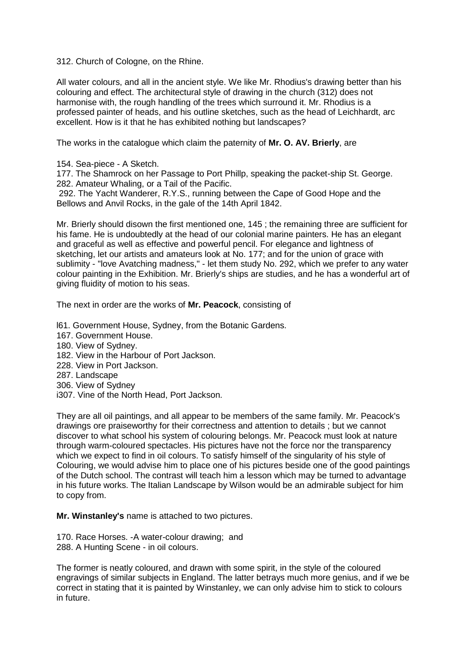312. Church of Cologne, on the Rhine.

All water colours, and all in the ancient style. We like Mr. Rhodius's drawing better than his colouring and effect. The architectural style of drawing in the church (312) does not harmonise with, the rough handling of the trees which surround it. Mr. Rhodius is a professed painter of heads, and his outline sketches, such as the head of Leichhardt, arc excellent. How is it that he has exhibited nothing but landscapes?

The works in the catalogue which claim the paternity of **Mr. O. AV. Brierly**, are

154. Sea-piece - A Sketch.

177. The Shamrock on her Passage to Port Phillp, speaking the packet-ship St. George. 282. Amateur Whaling, or a Tail of the Pacific.

292. The Yacht Wanderer, R.Y.S., running between the Cape of Good Hope and the Bellows and Anvil Rocks, in the gale of the 14th April 1842.

Mr. Brierly should disown the first mentioned one, 145 ; the remaining three are sufficient for his fame. He is undoubtedly at the head of our colonial marine painters. He has an elegant and graceful as well as effective and powerful pencil. For elegance and lightness of sketching, let our artists and amateurs look at No. 177; and for the union of grace with sublimity - "love Avatching madness," - let them study No. 292, which we prefer to any water colour painting in the Exhibition. Mr. Brierly's ships are studies, and he has a wonderful art of giving fluidity of motion to his seas.

The next in order are the works of **Mr. Peacock**, consisting of

l61. Government House, Sydney, from the Botanic Gardens.

- 167. Government House.
- 180. View of Sydney.
- 182. View in the Harbour of Port Jackson.
- 228. View in Port Jackson.
- 287. Landscape
- 306. View of Sydney
- i307. Vine of the North Head, Port Jackson.

They are all oil paintings, and all appear to be members of the same family. Mr. Peacock's drawings ore praiseworthy for their correctness and attention to details ; but we cannot discover to what school his system of colouring belongs. Mr. Peacock must look at nature through warm-coloured spectacles. His pictures have not the force nor the transparency which we expect to find in oil colours. To satisfy himself of the singularity of his style of Colouring, we would advise him to place one of his pictures beside one of the good paintings of the Dutch school. The contrast will teach him a lesson which may be turned to advantage in his future works. The Italian Landscape by Wilson would be an admirable subject for him to copy from.

**Mr. Winstanley's** name is attached to two pictures.

170. Race Horses. -A water-colour drawing; and 288. A Hunting Scene - in oil colours.

The former is neatly coloured, and drawn with some spirit, in the style of the coloured engravings of similar subjects in England. The latter betrays much more genius, and if we be correct in stating that it is painted by Winstanley, we can only advise him to stick to colours in future.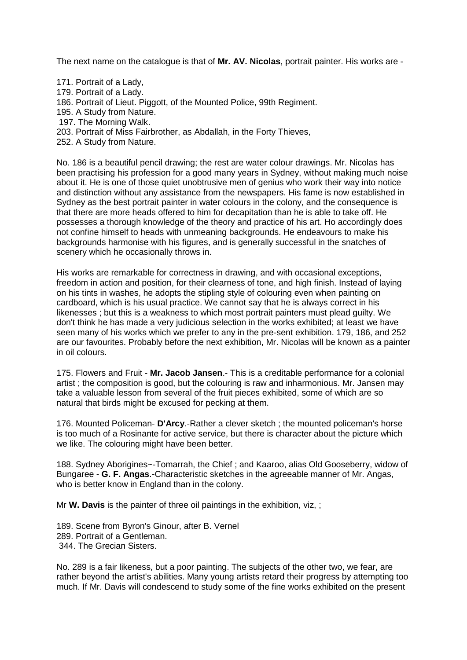The next name on the catalogue is that of **Mr. AV. Nicolas**, portrait painter. His works are -

- 171. Portrait of a Lady,
- 179. Portrait of a Lady.
- 186. Portrait of Lieut. Piggott, of the Mounted Police, 99th Regiment.
- 195. A Study from Nature.
- 197. The Morning Walk.
- 203. Portrait of Miss Fairbrother, as Abdallah, in the Forty Thieves,
- 252. A Study from Nature.

No. 186 is a beautiful pencil drawing; the rest are water colour drawings. Mr. Nicolas has been practising his profession for a good many years in Sydney, without making much noise about it. He is one of those quiet unobtrusive men of genius who work their way into notice and distinction without any assistance from the newspapers. His fame is now established in Sydney as the best portrait painter in water colours in the colony, and the consequence is that there are more heads offered to him for decapitation than he is able to take off. He possesses a thorough knowledge of the theory and practice of his art. Ho accordingly does not confine himself to heads with unmeaning backgrounds. He endeavours to make his backgrounds harmonise with his figures, and is generally successful in the snatches of scenery which he occasionally throws in.

His works are remarkable for correctness in drawing, and with occasional exceptions, freedom in action and position, for their clearness of tone, and high finish. Instead of laying on his tints in washes, he adopts the stipling style of colouring even when painting on cardboard, which is his usual practice. We cannot say that he is always correct in his likenesses ; but this is a weakness to which most portrait painters must plead guilty. We don't think he has made a very judicious selection in the works exhibited; at least we have seen many of his works which we prefer to any in the pre-sent exhibition. 179, 186, and 252 are our favourites. Probably before the next exhibition, Mr. Nicolas will be known as a painter in oil colours.

175. Flowers and Fruit - **Mr. Jacob Jansen**.- This is a creditable performance for a colonial artist ; the composition is good, but the colouring is raw and inharmonious. Mr. Jansen may take a valuable lesson from several of the fruit pieces exhibited, some of which are so natural that birds might be excused for pecking at them.

176. Mounted Policeman- **D'Arcy**.-Rather a clever sketch ; the mounted policeman's horse is too much of a Rosinante for active service, but there is character about the picture which we like. The colouring might have been better.

188. Sydney Aborigines~-Tomarrah, the Chief ; and Kaaroo, alias Old Gooseberry, widow of Bungaree - **G. F. Angas**.-Characteristic sketches in the agreeable manner of Mr. Angas, who is better know in England than in the colony.

Mr **W. Davis** is the painter of three oil paintings in the exhibition, viz, ;

189. Scene from Byron's Ginour, after B. Vernel 289. Portrait of a Gentleman. 344. The Grecian Sisters.

No. 289 is a fair likeness, but a poor painting. The subjects of the other two, we fear, are rather beyond the artist's abilities. Many young artists retard their progress by attempting too much. If Mr. Davis will condescend to study some of the fine works exhibited on the present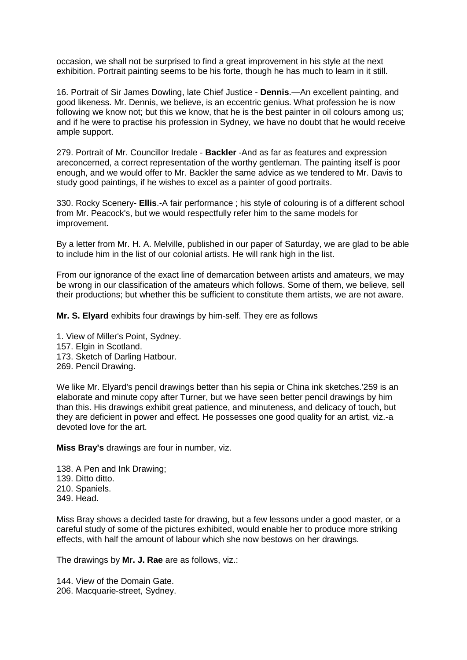occasion, we shall not be surprised to find a great improvement in his style at the next exhibition. Portrait painting seems to be his forte, though he has much to learn in it still.

16. Portrait of Sir James Dowling, late Chief Justice - **Dennis**.—An excellent painting, and good likeness. Mr. Dennis, we believe, is an eccentric genius. What profession he is now following we know not; but this we know, that he is the best painter in oil colours among us; and if he were to practise his profession in Sydney, we have no doubt that he would receive ample support.

279. Portrait of Mr. Councillor Iredale - **Backler** -And as far as features and expression areconcerned, a correct representation of the worthy gentleman. The painting itself is poor enough, and we would offer to Mr. Backler the same advice as we tendered to Mr. Davis to study good paintings, if he wishes to excel as a painter of good portraits.

330. Rocky Scenery- **Ellis**.-A fair performance ; his style of colouring is of a different school from Mr. Peacock's, but we would respectfully refer him to the same models for improvement.

By a letter from Mr. H. A. Melville, published in our paper of Saturday, we are glad to be able to include him in the list of our colonial artists. He will rank high in the list.

From our ignorance of the exact line of demarcation between artists and amateurs, we may be wrong in our classification of the amateurs which follows. Some of them, we believe, sell their productions; but whether this be sufficient to constitute them artists, we are not aware.

**Mr. S. Elyard** exhibits four drawings by him-self. They ere as follows

1. View of Miller's Point, Sydney. 157. Elgin in Scotland. 173. Sketch of Darling Hatbour. 269. Pencil Drawing.

We like Mr. Elyard's pencil drawings better than his sepia or China ink sketches.'259 is an elaborate and minute copy after Turner, but we have seen better pencil drawings by him than this. His drawings exhibit great patience, and minuteness, and delicacy of touch, but they are deficient in power and effect. He possesses one good quality for an artist, viz.-a devoted love for the art.

**Miss Bray's** drawings are four in number, viz.

138. A Pen and Ink Drawing; 139. Ditto ditto. 210. Spaniels. 349. Head.

Miss Bray shows a decided taste for drawing, but a few lessons under a good master, or a careful study of some of the pictures exhibited, would enable her to produce more striking effects, with half the amount of labour which she now bestows on her drawings.

The drawings by **Mr. J. Rae** are as follows, viz.:

144. View of the Domain Gate. 206. Macquarie-street, Sydney.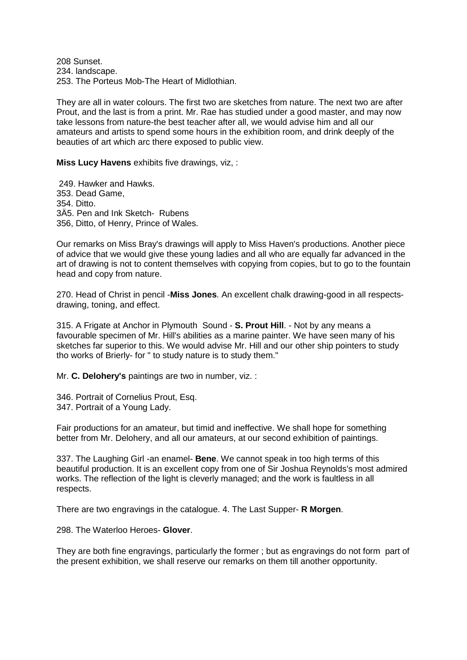208 Sunset. 234. landscape. 253. The Porteus Mob-The Heart of Midlothian.

They are all in water colours. The first two are sketches from nature. The next two are after Prout, and the last is from a print. Mr. Rae has studied under a good master, and may now take lessons from nature-the best teacher after all, we would advise him and all our amateurs and artists to spend some hours in the exhibition room, and drink deeply of the beauties of art which arc there exposed to public view.

**Miss Lucy Havens** exhibits five drawings, viz, :

249. Hawker and Hawks. 353. Dead Game, 354. Ditto. 3Ä5. Pen and Ink Sketch- Rubens 356, Ditto, of Henry, Prince of Wales.

Our remarks on Miss Bray's drawings will apply to Miss Haven's productions. Another piece of advice that we would give these young ladies and all who are equally far advanced in the art of drawing is not to content themselves with copying from copies, but to go to the fountain head and copy from nature.

270. Head of Christ in pencil -**Miss Jones**. An excellent chalk drawing-good in all respectsdrawing, toning, and effect.

315. A Frigate at Anchor in Plymouth Sound - **S. Prout Hill**. - Not by any means a favourable specimen of Mr. Hill's abilities as a marine painter. We have seen many of his sketches far superior to this. We would advise Mr. Hill and our other ship pointers to study tho works of Brierly- for " to study nature is to study them."

Mr. **C. Delohery's** paintings are two in number, viz. :

346. Portrait of Cornelius Prout, Esq. 347. Portrait of a Young Lady.

Fair productions for an amateur, but timid and ineffective. We shall hope for something better from Mr. Delohery, and all our amateurs, at our second exhibition of paintings.

337. The Laughing Girl -an enamel- **Bene**. We cannot speak in too high terms of this beautiful production. It is an excellent copy from one of Sir Joshua Reynolds's most admired works. The reflection of the light is cleverly managed; and the work is faultless in all respects.

There are two engravings in the catalogue. 4. The Last Supper- **R Morgen**.

298. The Waterloo Heroes- **Glover**.

They are both fine engravings, particularly the former ; but as engravings do not form part of the present exhibition, we shall reserve our remarks on them till another opportunity.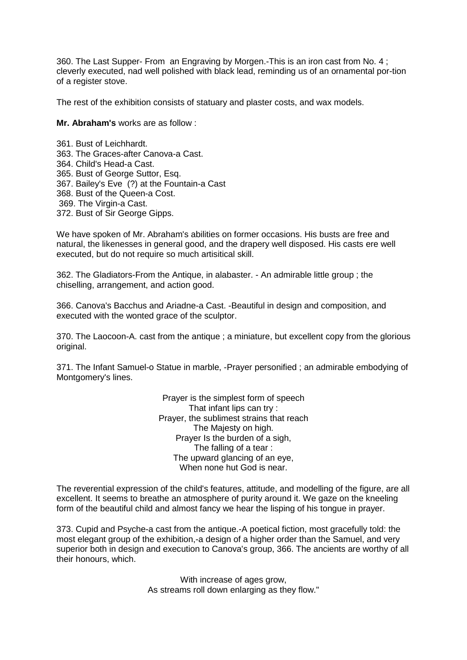360. The Last Supper- From an Engraving by Morgen.-This is an iron cast from No. 4 ; cleverly executed, nad well polished with black lead, reminding us of an ornamental por-tion of a register stove.

The rest of the exhibition consists of statuary and plaster costs, and wax models.

**Mr. Abraham's** works are as follow :

361. Bust of Leichhardt. 363. The Graces-after Canova-a Cast. 364. Child's Head-a Cast. 365. Bust of George Suttor, Esq. 367. Bailey's Eve (?) at the Fountain-a Cast 368. Bust of the Queen-a Cost. 369. The Virgin-a Cast. 372. Bust of Sir George Gipps.

We have spoken of Mr. Abraham's abilities on former occasions. His busts are free and natural, the likenesses in general good, and the drapery well disposed. His casts ere well executed, but do not require so much artisitical skill.

362. The Gladiators-From the Antique, in alabaster. - An admirable little group ; the chiselling, arrangement, and action good.

366. Canova's Bacchus and Ariadne-a Cast. -Beautiful in design and composition, and executed with the wonted grace of the sculptor.

370. The Laocoon-A. cast from the antique ; a miniature, but excellent copy from the glorious original.

371. The Infant Samuel-o Statue in marble, -Prayer personified ; an admirable embodying of Montgomery's lines.

> Prayer is the simplest form of speech That infant lips can try : Prayer, the sublimest strains that reach The Majesty on high. Prayer Is the burden of a sigh, The falling of a tear : The upward glancing of an eye, When none hut God is near.

The reverential expression of the child's features, attitude, and modelling of the figure, are all excellent. It seems to breathe an atmosphere of purity around it. We gaze on the kneeling form of the beautiful child and almost fancy we hear the lisping of his tongue in prayer.

373. Cupid and Psyche-a cast from the antique.-A poetical fiction, most gracefully told: the most elegant group of the exhibition,-a design of a higher order than the Samuel, and very superior both in design and execution to Canova's group, 366. The ancients are worthy of all their honours, which.

> With increase of ages grow, As streams roll down enlarging as they flow."